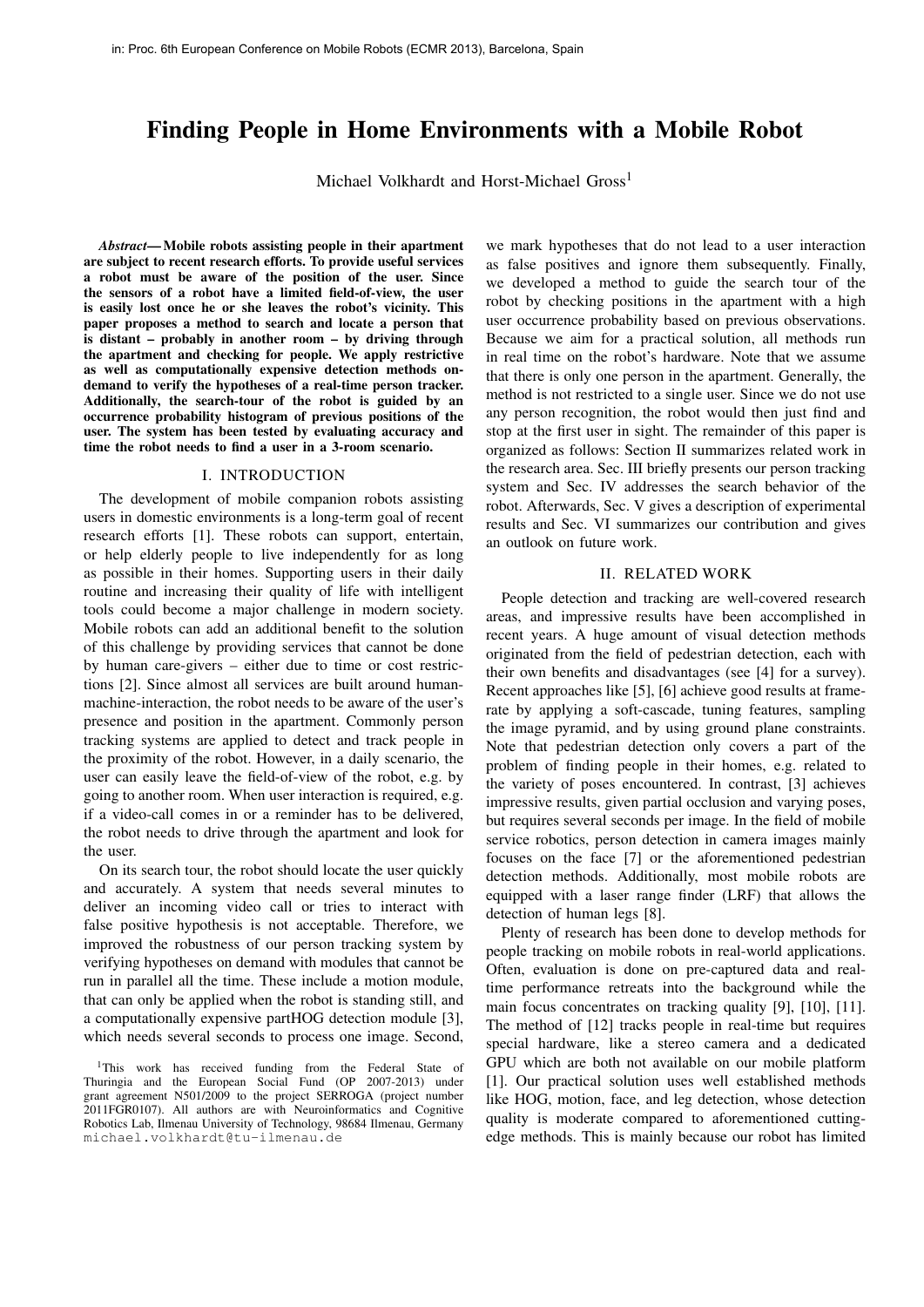# Finding People in Home Environments with a Mobile Robot

Michael Volkhardt and Horst-Michael Gross<sup>1</sup>

*Abstract*— Mobile robots assisting people in their apartment are subject to recent research efforts. To provide useful services a robot must be aware of the position of the user. Since the sensors of a robot have a limited field-of-view, the user is easily lost once he or she leaves the robot's vicinity. This paper proposes a method to search and locate a person that is distant – probably in another room – by driving through the apartment and checking for people. We apply restrictive as well as computationally expensive detection methods ondemand to verify the hypotheses of a real-time person tracker. Additionally, the search-tour of the robot is guided by an occurrence probability histogram of previous positions of the user. The system has been tested by evaluating accuracy and time the robot needs to find a user in a 3-room scenario.

### I. INTRODUCTION

The development of mobile companion robots assisting users in domestic environments is a long-term goal of recent research efforts [1]. These robots can support, entertain, or help elderly people to live independently for as long as possible in their homes. Supporting users in their daily routine and increasing their quality of life with intelligent tools could become a major challenge in modern society. Mobile robots can add an additional benefit to the solution of this challenge by providing services that cannot be done by human care-givers – either due to time or cost restrictions [2]. Since almost all services are built around humanmachine-interaction, the robot needs to be aware of the user's presence and position in the apartment. Commonly person tracking systems are applied to detect and track people in the proximity of the robot. However, in a daily scenario, the user can easily leave the field-of-view of the robot, e.g. by going to another room. When user interaction is required, e.g. if a video-call comes in or a reminder has to be delivered, the robot needs to drive through the apartment and look for the user.

On its search tour, the robot should locate the user quickly and accurately. A system that needs several minutes to deliver an incoming video call or tries to interact with false positive hypothesis is not acceptable. Therefore, we improved the robustness of our person tracking system by verifying hypotheses on demand with modules that cannot be run in parallel all the time. These include a motion module, that can only be applied when the robot is standing still, and a computationally expensive partHOG detection module [3], which needs several seconds to process one image. Second,

we mark hypotheses that do not lead to a user interaction as false positives and ignore them subsequently. Finally, we developed a method to guide the search tour of the robot by checking positions in the apartment with a high user occurrence probability based on previous observations. Because we aim for a practical solution, all methods run in real time on the robot's hardware. Note that we assume that there is only one person in the apartment. Generally, the method is not restricted to a single user. Since we do not use any person recognition, the robot would then just find and stop at the first user in sight. The remainder of this paper is organized as follows: Section II summarizes related work in the research area. Sec. III briefly presents our person tracking system and Sec. IV addresses the search behavior of the robot. Afterwards, Sec. V gives a description of experimental results and Sec. VI summarizes our contribution and gives an outlook on future work.

### II. RELATED WORK

People detection and tracking are well-covered research areas, and impressive results have been accomplished in recent years. A huge amount of visual detection methods originated from the field of pedestrian detection, each with their own benefits and disadvantages (see [4] for a survey). Recent approaches like [5], [6] achieve good results at framerate by applying a soft-cascade, tuning features, sampling the image pyramid, and by using ground plane constraints. Note that pedestrian detection only covers a part of the problem of finding people in their homes, e.g. related to the variety of poses encountered. In contrast, [3] achieves impressive results, given partial occlusion and varying poses, but requires several seconds per image. In the field of mobile service robotics, person detection in camera images mainly focuses on the face [7] or the aforementioned pedestrian detection methods. Additionally, most mobile robots are equipped with a laser range finder (LRF) that allows the detection of human legs [8].

Plenty of research has been done to develop methods for people tracking on mobile robots in real-world applications. Often, evaluation is done on pre-captured data and realtime performance retreats into the background while the main focus concentrates on tracking quality [9], [10], [11]. The method of [12] tracks people in real-time but requires special hardware, like a stereo camera and a dedicated GPU which are both not available on our mobile platform [1]. Our practical solution uses well established methods like HOG, motion, face, and leg detection, whose detection quality is moderate compared to aforementioned cuttingedge methods. This is mainly because our robot has limited

<sup>&</sup>lt;sup>1</sup>This work has received funding from the Federal State of Thuringia and the European Social Fund (OP 2007-2013) under grant agreement N501/2009 to the project SERROGA (project number 2011FGR0107). All authors are with Neuroinformatics and Cognitive Robotics Lab, Ilmenau University of Technology, 98684 Ilmenau, Germany michael.volkhardt@tu-ilmenau.de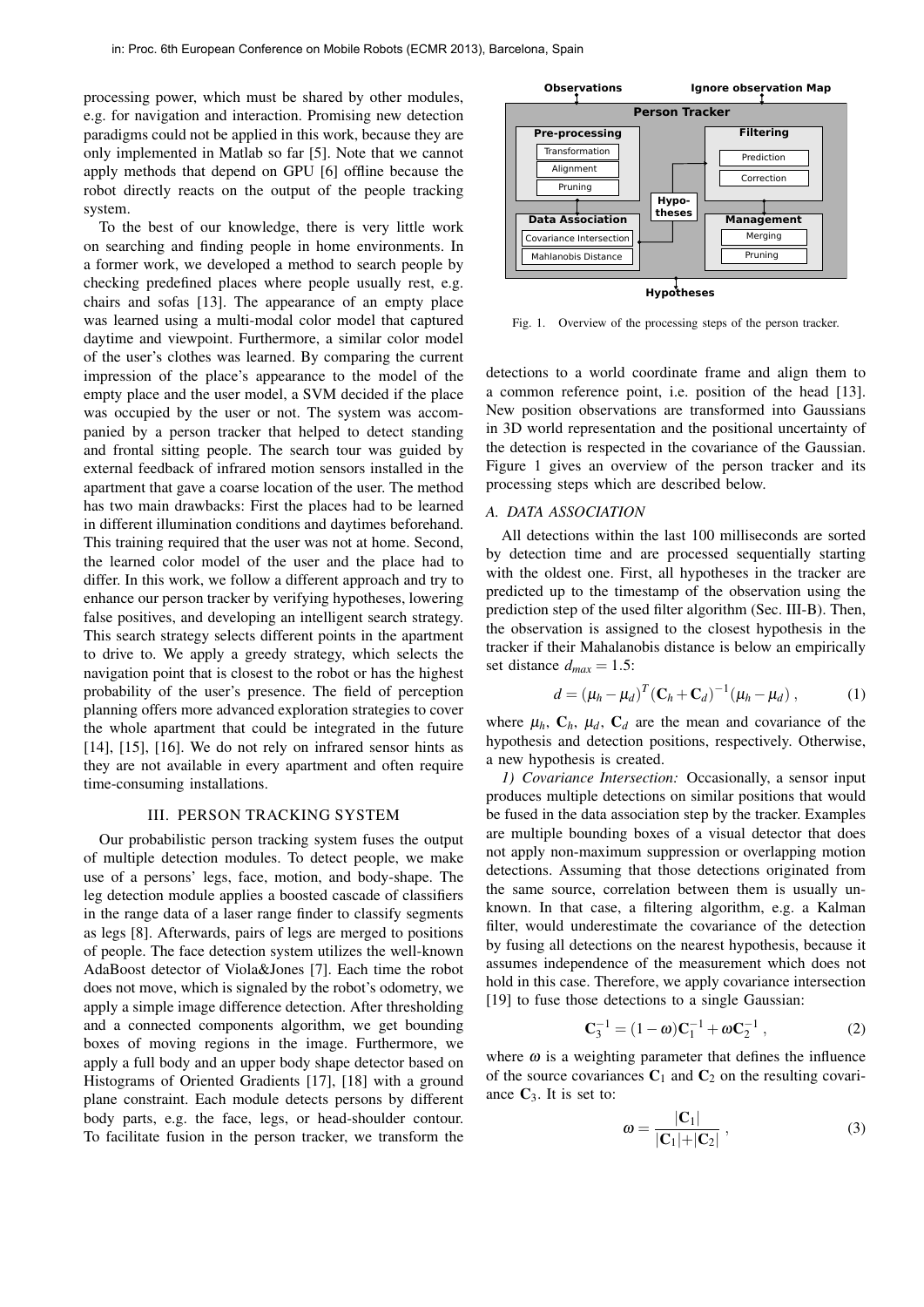processing power, which must be shared by other modules, e.g. for navigation and interaction. Promising new detection paradigms could not be applied in this work, because they are only implemented in Matlab so far [5]. Note that we cannot apply methods that depend on GPU [6] offline because the robot directly reacts on the output of the people tracking system.

To the best of our knowledge, there is very little work on searching and finding people in home environments. In a former work, we developed a method to search people by checking predefined places where people usually rest, e.g. chairs and sofas [13]. The appearance of an empty place was learned using a multi-modal color model that captured daytime and viewpoint. Furthermore, a similar color model of the user's clothes was learned. By comparing the current impression of the place's appearance to the model of the empty place and the user model, a SVM decided if the place was occupied by the user or not. The system was accompanied by a person tracker that helped to detect standing and frontal sitting people. The search tour was guided by external feedback of infrared motion sensors installed in the apartment that gave a coarse location of the user. The method has two main drawbacks: First the places had to be learned in different illumination conditions and daytimes beforehand. This training required that the user was not at home. Second, the learned color model of the user and the place had to differ. In this work, we follow a different approach and try to enhance our person tracker by verifying hypotheses, lowering false positives, and developing an intelligent search strategy. This search strategy selects different points in the apartment to drive to. We apply a greedy strategy, which selects the navigation point that is closest to the robot or has the highest probability of the user's presence. The field of perception planning offers more advanced exploration strategies to cover the whole apartment that could be integrated in the future [14], [15], [16]. We do not rely on infrared sensor hints as they are not available in every apartment and often require time-consuming installations.

### III. PERSON TRACKING SYSTEM

Our probabilistic person tracking system fuses the output of multiple detection modules. To detect people, we make use of a persons' legs, face, motion, and body-shape. The leg detection module applies a boosted cascade of classifiers in the range data of a laser range finder to classify segments as legs [8]. Afterwards, pairs of legs are merged to positions of people. The face detection system utilizes the well-known AdaBoost detector of Viola&Jones [7]. Each time the robot does not move, which is signaled by the robot's odometry, we apply a simple image difference detection. After thresholding and a connected components algorithm, we get bounding boxes of moving regions in the image. Furthermore, we apply a full body and an upper body shape detector based on Histograms of Oriented Gradients [17], [18] with a ground plane constraint. Each module detects persons by different body parts, e.g. the face, legs, or head-shoulder contour. To facilitate fusion in the person tracker, we transform the



Fig. 1. Overview of the processing steps of the person tracker.

detections to a world coordinate frame and align them to a common reference point, i.e. position of the head [13]. New position observations are transformed into Gaussians in 3D world representation and the positional uncertainty of the detection is respected in the covariance of the Gaussian. Figure 1 gives an overview of the person tracker and its processing steps which are described below.

#### *A. DATA ASSOCIATION*

All detections within the last 100 milliseconds are sorted by detection time and are processed sequentially starting with the oldest one. First, all hypotheses in the tracker are predicted up to the timestamp of the observation using the prediction step of the used filter algorithm (Sec. III-B). Then, the observation is assigned to the closest hypothesis in the tracker if their Mahalanobis distance is below an empirically set distance  $d_{max} = 1.5$ :

$$
d = (\mu_h - \mu_d)^T (\mathbf{C}_h + \mathbf{C}_d)^{-1} (\mu_h - \mu_d) , \qquad (1)
$$

where  $\mu_h$ ,  $C_h$ ,  $\mu_d$ ,  $C_d$  are the mean and covariance of the hypothesis and detection positions, respectively. Otherwise, a new hypothesis is created.

*1) Covariance Intersection:* Occasionally, a sensor input produces multiple detections on similar positions that would be fused in the data association step by the tracker. Examples are multiple bounding boxes of a visual detector that does not apply non-maximum suppression or overlapping motion detections. Assuming that those detections originated from the same source, correlation between them is usually unknown. In that case, a filtering algorithm, e.g. a Kalman filter, would underestimate the covariance of the detection by fusing all detections on the nearest hypothesis, because it assumes independence of the measurement which does not hold in this case. Therefore, we apply covariance intersection [19] to fuse those detections to a single Gaussian:

$$
\mathbf{C}_3^{-1} = (1 - \omega)\mathbf{C}_1^{-1} + \omega \mathbf{C}_2^{-1} , \qquad (2)
$$

where  $\omega$  is a weighting parameter that defines the influence of the source covariances  $C_1$  and  $C_2$  on the resulting covariance  $C_3$ . It is set to:

$$
\omega = \frac{|\mathbf{C}_1|}{|\mathbf{C}_1| + |\mathbf{C}_2|},\tag{3}
$$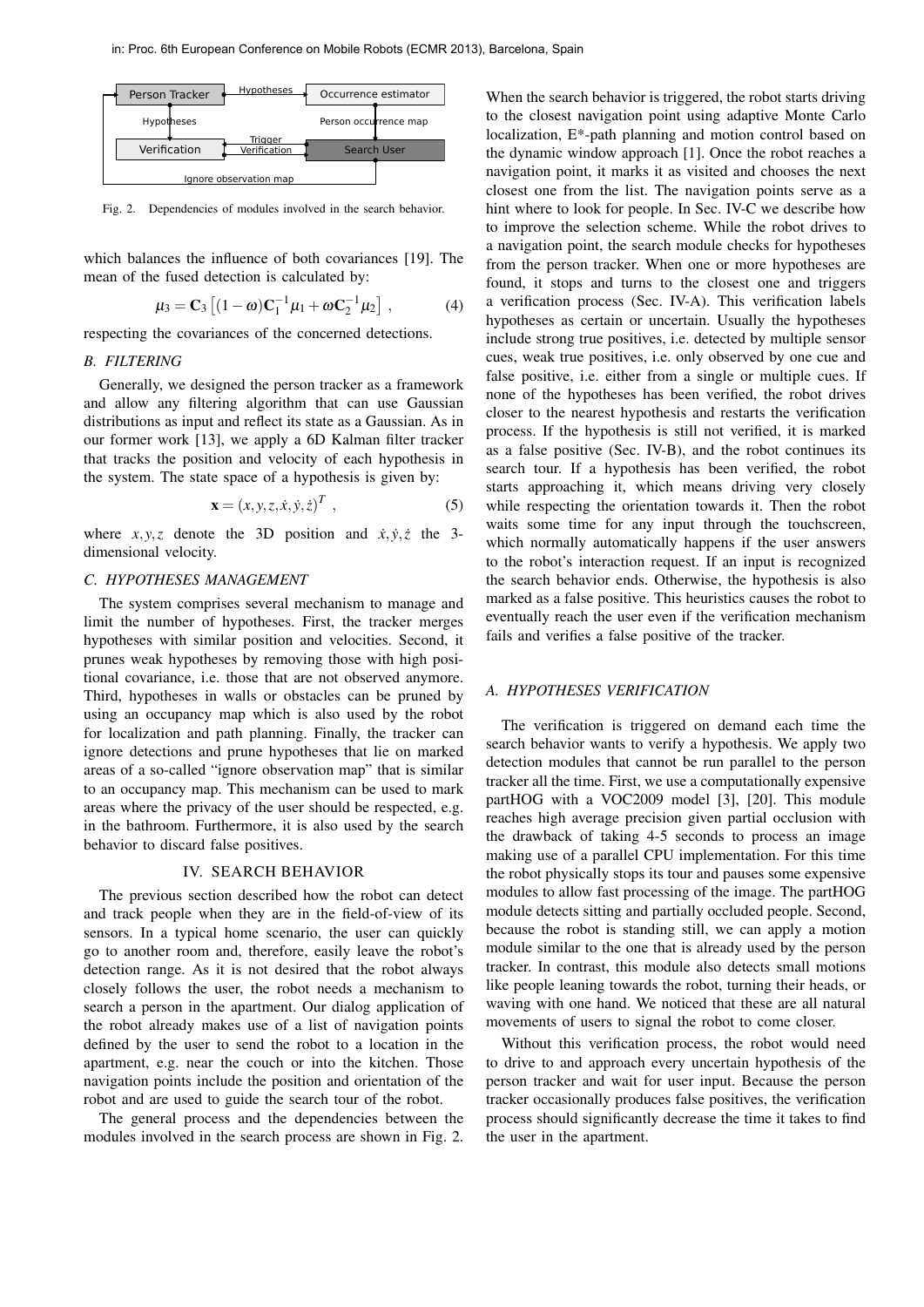

Fig. 2. Dependencies of modules involved in the search behavior.

which balances the influence of both covariances [19]. The mean of the fused detection is calculated by:

$$
\mu_3 = \mathbf{C}_3 \left[ (1 - \omega) \mathbf{C}_1^{-1} \mu_1 + \omega \mathbf{C}_2^{-1} \mu_2 \right], \tag{4}
$$

respecting the covariances of the concerned detections.

#### *B. FILTERING*

Generally, we designed the person tracker as a framework and allow any filtering algorithm that can use Gaussian distributions as input and reflect its state as a Gaussian. As in our former work [13], we apply a 6D Kalman filter tracker that tracks the position and velocity of each hypothesis in the system. The state space of a hypothesis is given by:

$$
\mathbf{x} = (x, y, z, \dot{x}, \dot{y}, \dot{z})^T , \qquad (5)
$$

where  $x, y, z$  denote the 3D position and  $\dot{x}, \dot{y}, \dot{z}$  the 3dimensional velocity.

### *C. HYPOTHESES MANAGEMENT*

The system comprises several mechanism to manage and limit the number of hypotheses. First, the tracker merges hypotheses with similar position and velocities. Second, it prunes weak hypotheses by removing those with high positional covariance, i.e. those that are not observed anymore. Third, hypotheses in walls or obstacles can be pruned by using an occupancy map which is also used by the robot for localization and path planning. Finally, the tracker can ignore detections and prune hypotheses that lie on marked areas of a so-called "ignore observation map" that is similar to an occupancy map. This mechanism can be used to mark areas where the privacy of the user should be respected, e.g. in the bathroom. Furthermore, it is also used by the search behavior to discard false positives.

### IV. SEARCH BEHAVIOR

The previous section described how the robot can detect and track people when they are in the field-of-view of its sensors. In a typical home scenario, the user can quickly go to another room and, therefore, easily leave the robot's detection range. As it is not desired that the robot always closely follows the user, the robot needs a mechanism to search a person in the apartment. Our dialog application of the robot already makes use of a list of navigation points defined by the user to send the robot to a location in the apartment, e.g. near the couch or into the kitchen. Those navigation points include the position and orientation of the robot and are used to guide the search tour of the robot.

The general process and the dependencies between the modules involved in the search process are shown in Fig. 2.

When the search behavior is triggered, the robot starts driving to the closest navigation point using adaptive Monte Carlo localization, E\*-path planning and motion control based on the dynamic window approach [1]. Once the robot reaches a navigation point, it marks it as visited and chooses the next closest one from the list. The navigation points serve as a hint where to look for people. In Sec. IV-C we describe how to improve the selection scheme. While the robot drives to a navigation point, the search module checks for hypotheses from the person tracker. When one or more hypotheses are found, it stops and turns to the closest one and triggers a verification process (Sec. IV-A). This verification labels hypotheses as certain or uncertain. Usually the hypotheses include strong true positives, i.e. detected by multiple sensor cues, weak true positives, i.e. only observed by one cue and false positive, i.e. either from a single or multiple cues. If none of the hypotheses has been verified, the robot drives closer to the nearest hypothesis and restarts the verification process. If the hypothesis is still not verified, it is marked as a false positive (Sec. IV-B), and the robot continues its search tour. If a hypothesis has been verified, the robot starts approaching it, which means driving very closely while respecting the orientation towards it. Then the robot waits some time for any input through the touchscreen, which normally automatically happens if the user answers to the robot's interaction request. If an input is recognized the search behavior ends. Otherwise, the hypothesis is also marked as a false positive. This heuristics causes the robot to eventually reach the user even if the verification mechanism fails and verifies a false positive of the tracker.

## *A. HYPOTHESES VERIFICATION*

The verification is triggered on demand each time the search behavior wants to verify a hypothesis. We apply two detection modules that cannot be run parallel to the person tracker all the time. First, we use a computationally expensive partHOG with a VOC2009 model [3], [20]. This module reaches high average precision given partial occlusion with the drawback of taking 4-5 seconds to process an image making use of a parallel CPU implementation. For this time the robot physically stops its tour and pauses some expensive modules to allow fast processing of the image. The partHOG module detects sitting and partially occluded people. Second, because the robot is standing still, we can apply a motion module similar to the one that is already used by the person tracker. In contrast, this module also detects small motions like people leaning towards the robot, turning their heads, or waving with one hand. We noticed that these are all natural movements of users to signal the robot to come closer.

Without this verification process, the robot would need to drive to and approach every uncertain hypothesis of the person tracker and wait for user input. Because the person tracker occasionally produces false positives, the verification process should significantly decrease the time it takes to find the user in the apartment.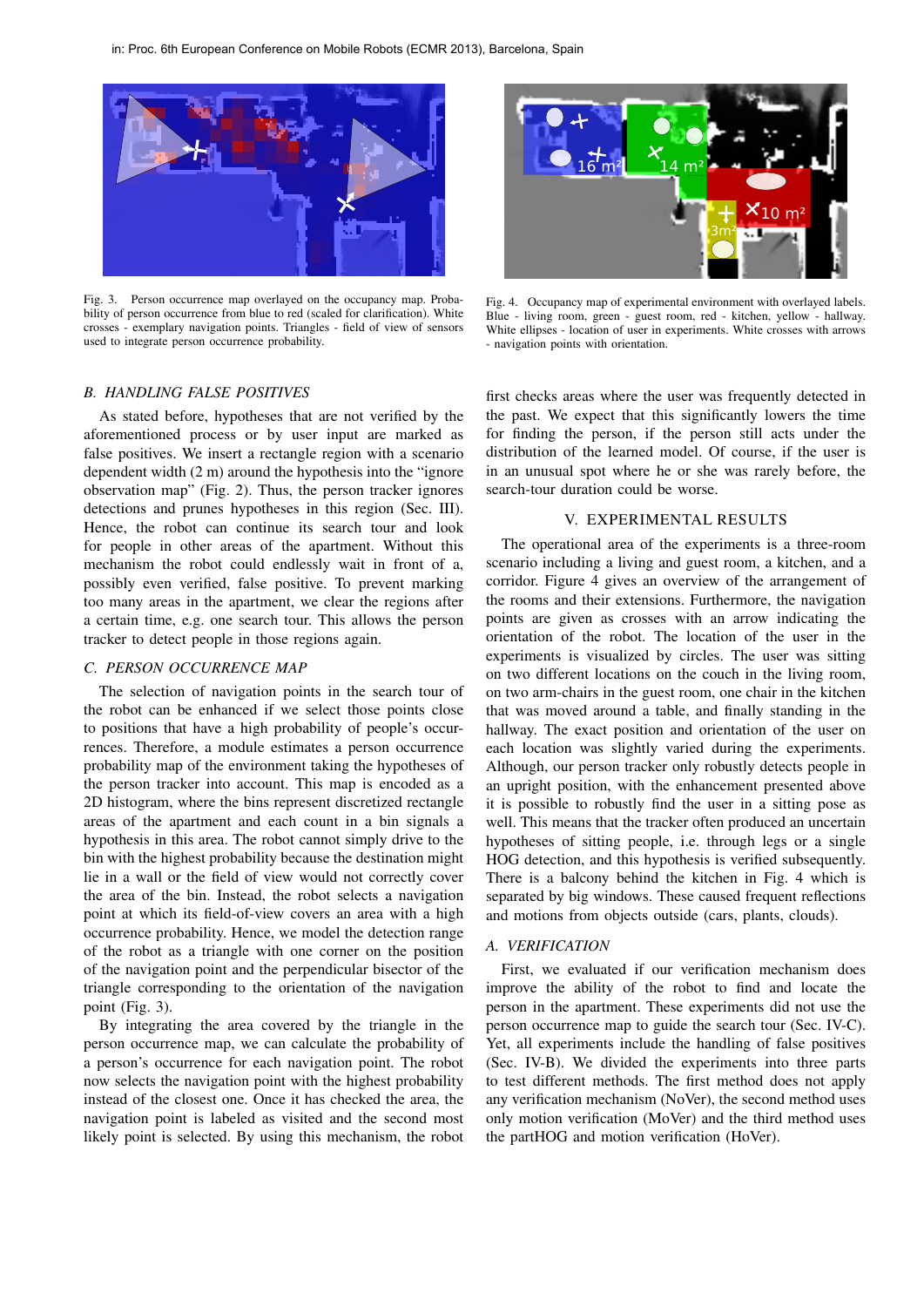

Fig. 3. Person occurrence map overlayed on the occupancy map. Probability of person occurrence from blue to red (scaled for clarification). White crosses - exemplary navigation points. Triangles - field of view of sensors used to integrate person occurrence probability.

### *B. HANDLING FALSE POSITIVES*

As stated before, hypotheses that are not verified by the aforementioned process or by user input are marked as false positives. We insert a rectangle region with a scenario dependent width (2 m) around the hypothesis into the "ignore observation map" (Fig. 2). Thus, the person tracker ignores detections and prunes hypotheses in this region (Sec. III). Hence, the robot can continue its search tour and look for people in other areas of the apartment. Without this mechanism the robot could endlessly wait in front of a, possibly even verified, false positive. To prevent marking too many areas in the apartment, we clear the regions after a certain time, e.g. one search tour. This allows the person tracker to detect people in those regions again.

### *C. PERSON OCCURRENCE MAP*

The selection of navigation points in the search tour of the robot can be enhanced if we select those points close to positions that have a high probability of people's occurrences. Therefore, a module estimates a person occurrence probability map of the environment taking the hypotheses of the person tracker into account. This map is encoded as a 2D histogram, where the bins represent discretized rectangle areas of the apartment and each count in a bin signals a hypothesis in this area. The robot cannot simply drive to the bin with the highest probability because the destination might lie in a wall or the field of view would not correctly cover the area of the bin. Instead, the robot selects a navigation point at which its field-of-view covers an area with a high occurrence probability. Hence, we model the detection range of the robot as a triangle with one corner on the position of the navigation point and the perpendicular bisector of the triangle corresponding to the orientation of the navigation point (Fig. 3).

By integrating the area covered by the triangle in the person occurrence map, we can calculate the probability of a person's occurrence for each navigation point. The robot now selects the navigation point with the highest probability instead of the closest one. Once it has checked the area, the navigation point is labeled as visited and the second most likely point is selected. By using this mechanism, the robot



Fig. 4. Occupancy map of experimental environment with overlayed labels. Blue - living room, green - guest room, red - kitchen, yellow - hallway. White ellipses - location of user in experiments. White crosses with arrows - navigation points with orientation.

first checks areas where the user was frequently detected in the past. We expect that this significantly lowers the time for finding the person, if the person still acts under the distribution of the learned model. Of course, if the user is in an unusual spot where he or she was rarely before, the search-tour duration could be worse.

## V. EXPERIMENTAL RESULTS

The operational area of the experiments is a three-room scenario including a living and guest room, a kitchen, and a corridor. Figure 4 gives an overview of the arrangement of the rooms and their extensions. Furthermore, the navigation points are given as crosses with an arrow indicating the orientation of the robot. The location of the user in the experiments is visualized by circles. The user was sitting on two different locations on the couch in the living room, on two arm-chairs in the guest room, one chair in the kitchen that was moved around a table, and finally standing in the hallway. The exact position and orientation of the user on each location was slightly varied during the experiments. Although, our person tracker only robustly detects people in an upright position, with the enhancement presented above it is possible to robustly find the user in a sitting pose as well. This means that the tracker often produced an uncertain hypotheses of sitting people, i.e. through legs or a single HOG detection, and this hypothesis is verified subsequently. There is a balcony behind the kitchen in Fig. 4 which is separated by big windows. These caused frequent reflections and motions from objects outside (cars, plants, clouds).

### *A. VERIFICATION*

First, we evaluated if our verification mechanism does improve the ability of the robot to find and locate the person in the apartment. These experiments did not use the person occurrence map to guide the search tour (Sec. IV-C). Yet, all experiments include the handling of false positives (Sec. IV-B). We divided the experiments into three parts to test different methods. The first method does not apply any verification mechanism (NoVer), the second method uses only motion verification (MoVer) and the third method uses the partHOG and motion verification (HoVer).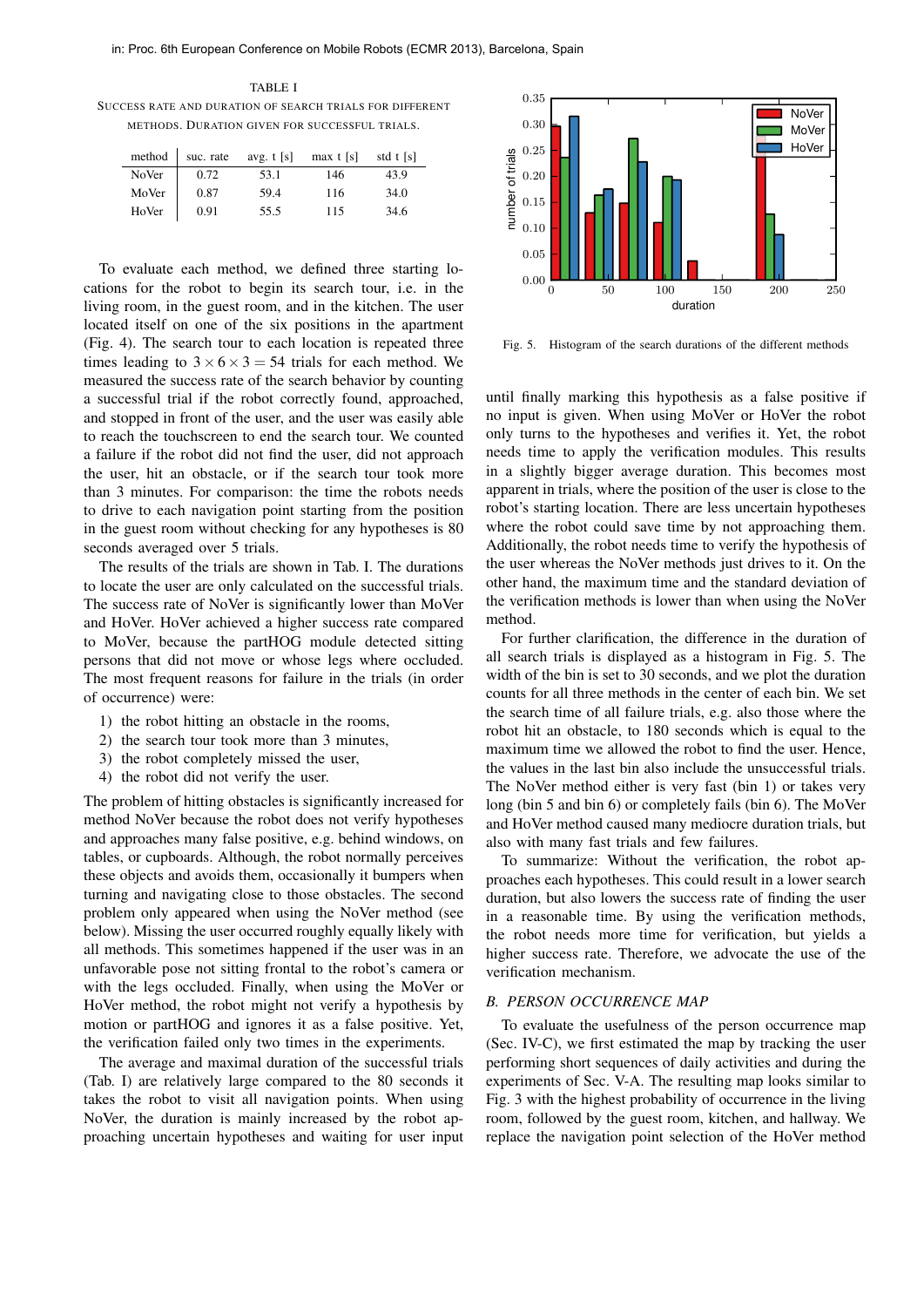TABLE I SUCCESS RATE AND DURATION OF SEARCH TRIALS FOR DIFFERENT METHODS. DURATION GIVEN FOR SUCCESSFUL TRIALS.

| method | suc. rate | avg. $t$ [s] | $max$ t [s] | std $t$ [s] |
|--------|-----------|--------------|-------------|-------------|
| NoVer  | 0.72      | 53.1         | 146         | 43.9        |
| MoVer  | 0.87      | 59.4         | 116         | 34.0        |
| HoVer  | 0.91      | 55.5         | 115         | 34.6        |

To evaluate each method, we defined three starting locations for the robot to begin its search tour, i.e. in the living room, in the guest room, and in the kitchen. The user located itself on one of the six positions in the apartment (Fig. 4). The search tour to each location is repeated three times leading to  $3 \times 6 \times 3 = 54$  trials for each method. We measured the success rate of the search behavior by counting a successful trial if the robot correctly found, approached, and stopped in front of the user, and the user was easily able to reach the touchscreen to end the search tour. We counted a failure if the robot did not find the user, did not approach the user, hit an obstacle, or if the search tour took more than 3 minutes. For comparison: the time the robots needs to drive to each navigation point starting from the position in the guest room without checking for any hypotheses is 80 seconds averaged over 5 trials.

The results of the trials are shown in Tab. I. The durations to locate the user are only calculated on the successful trials. The success rate of NoVer is significantly lower than MoVer and HoVer. HoVer achieved a higher success rate compared to MoVer, because the partHOG module detected sitting persons that did not move or whose legs where occluded. The most frequent reasons for failure in the trials (in order of occurrence) were:

- 1) the robot hitting an obstacle in the rooms,
- 2) the search tour took more than 3 minutes,
- 3) the robot completely missed the user,
- 4) the robot did not verify the user.

The problem of hitting obstacles is significantly increased for method NoVer because the robot does not verify hypotheses and approaches many false positive, e.g. behind windows, on tables, or cupboards. Although, the robot normally perceives these objects and avoids them, occasionally it bumpers when turning and navigating close to those obstacles. The second problem only appeared when using the NoVer method (see below). Missing the user occurred roughly equally likely with all methods. This sometimes happened if the user was in an unfavorable pose not sitting frontal to the robot's camera or with the legs occluded. Finally, when using the MoVer or HoVer method, the robot might not verify a hypothesis by motion or partHOG and ignores it as a false positive. Yet, the verification failed only two times in the experiments.

The average and maximal duration of the successful trials (Tab. I) are relatively large compared to the 80 seconds it takes the robot to visit all navigation points. When using NoVer, the duration is mainly increased by the robot approaching uncertain hypotheses and waiting for user input



Fig. 5. Histogram of the search durations of the different methods

until finally marking this hypothesis as a false positive if no input is given. When using MoVer or HoVer the robot only turns to the hypotheses and verifies it. Yet, the robot needs time to apply the verification modules. This results in a slightly bigger average duration. This becomes most apparent in trials, where the position of the user is close to the robot's starting location. There are less uncertain hypotheses where the robot could save time by not approaching them. Additionally, the robot needs time to verify the hypothesis of the user whereas the NoVer methods just drives to it. On the other hand, the maximum time and the standard deviation of the verification methods is lower than when using the NoVer method.

For further clarification, the difference in the duration of all search trials is displayed as a histogram in Fig. 5. The width of the bin is set to 30 seconds, and we plot the duration counts for all three methods in the center of each bin. We set the search time of all failure trials, e.g. also those where the robot hit an obstacle, to 180 seconds which is equal to the maximum time we allowed the robot to find the user. Hence, the values in the last bin also include the unsuccessful trials. The NoVer method either is very fast (bin 1) or takes very long (bin 5 and bin 6) or completely fails (bin 6). The MoVer and HoVer method caused many mediocre duration trials, but also with many fast trials and few failures.

To summarize: Without the verification, the robot approaches each hypotheses. This could result in a lower search duration, but also lowers the success rate of finding the user in a reasonable time. By using the verification methods, the robot needs more time for verification, but yields a higher success rate. Therefore, we advocate the use of the verification mechanism.

### *B. PERSON OCCURRENCE MAP*

To evaluate the usefulness of the person occurrence map (Sec. IV-C), we first estimated the map by tracking the user performing short sequences of daily activities and during the experiments of Sec. V-A. The resulting map looks similar to Fig. 3 with the highest probability of occurrence in the living room, followed by the guest room, kitchen, and hallway. We replace the navigation point selection of the HoVer method